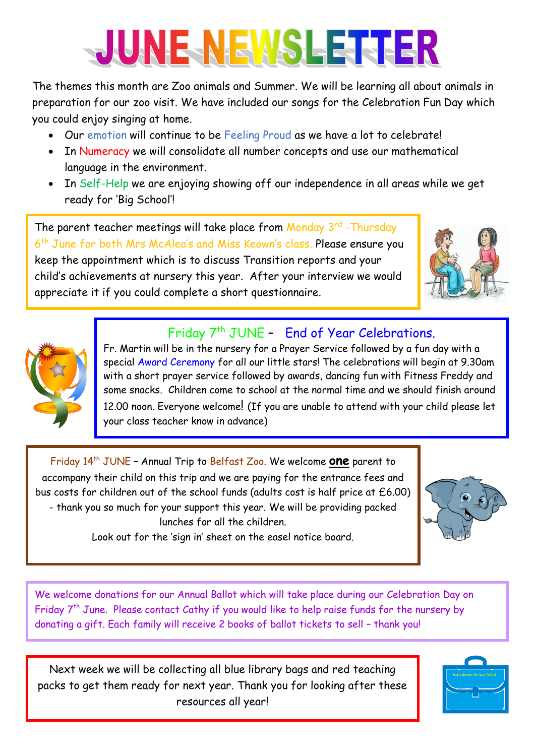## JUNE NEWSLETHER

The themes this month are Zoo animals and Summer. We will be learning all about animals in preparation for our zoo visit. We have included our songs for the Celebration Fun Day which you could enjoy singing at home.

- Our emotion will continue to be Feeling Proud as we have a lot to celebrate!
- In Numeracy we will consolidate all number concepts and use our mathematical language in the environment.
- In Self-Help we are enjoying showing off our independence in all areas while we get ready for 'Big School'!

The parent teacher meetings will take place from Monday 3rd - Thursday 6<sup>th</sup> June for both Mrs McAlea's and Miss Keown's class. Please ensure you keep the appointment which is to discuss Transition reports and your child's achievements at nursery this year. After your interview we would appreciate it if you could complete a short questionnaire.



## Friday 7<sup>th</sup> JUNE - End of Year Celebrations.



Fr. Martin will be in the nursery for a Prayer Service followed by a fun day with a special Award Ceremony for all our little stars! The celebrations will begin at 9.30am with a short prayer service followed by awards, dancing fun with Fitness Freddy and some snacks. Children come to school at the normal time and we should finish around 12.00 noon. Everyone welcome! (If you are unable to attend with your child please let your class teacher know in advance)

Friday 14 th JUNE – Annual Trip to Belfast Zoo. We welcome **one** parent to accompany their child on this trip and we are paying for the entrance fees and bus costs for children out of the school funds (adults cost is half price at £6.00) - thank you so much for your support this year. We will be providing packed lunches for all the children.



Look out for the 'sign in' sheet on the easel notice board.

We welcome donations for our Annual Ballot which will take place during our Celebration Day on Friday 7<sup>th</sup> June. Please contact Cathy if you would like to help raise funds for the nursery by donating a gift. Each family will receive 2 books of ballot tickets to sell – thank you!

Next week we will be collecting all blue library bags and red teaching packs to get them ready for next year. Thank you for looking after these resources all year!